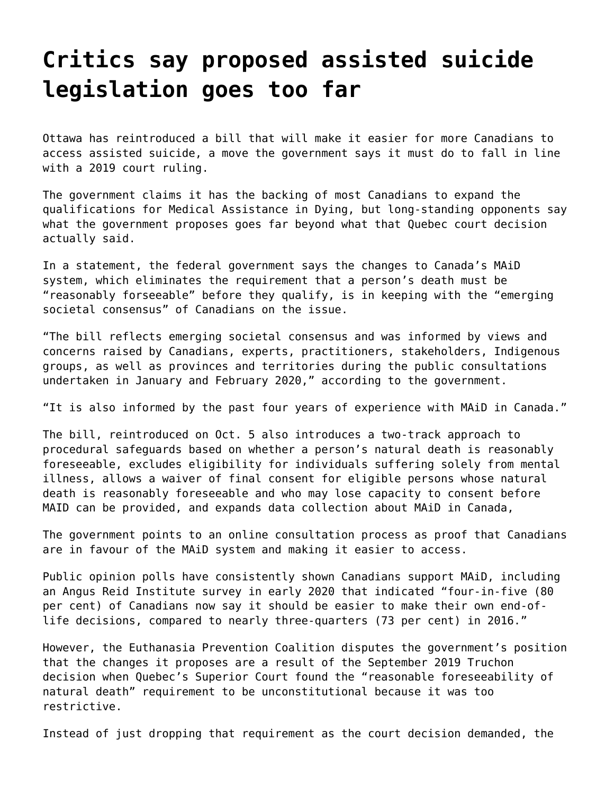## **[Critics say proposed assisted suicide](https://grandinmedia.ca/critics-say-proposed-assisted-suicide-legislation-goes-too-far/) [legislation goes too far](https://grandinmedia.ca/critics-say-proposed-assisted-suicide-legislation-goes-too-far/)**

Ottawa has reintroduced a bill that will make it easier for more Canadians to access assisted suicide, a move the government says it must do to fall in line with a 2019 court ruling.

The government claims it has the backing of most Canadians to expand the qualifications for Medical Assistance in Dying, but long-standing opponents say what the government proposes goes far beyond what that Quebec court decision actually said.

In a statement, the federal government says the changes to Canada's MAiD system, which eliminates the requirement that a person's death must be "reasonably forseeable" before they qualify, is in keeping with the "emerging societal consensus" of Canadians on the issue.

"The bill reflects emerging societal consensus and was informed by views and concerns raised by Canadians, experts, practitioners, stakeholders, Indigenous groups, as well as provinces and territories during the public consultations undertaken in January and February 2020," according to the government.

"It is also informed by the past four years of experience with MAiD in Canada."

The bill, reintroduced on Oct. 5 also introduces a two-track approach to procedural safeguards based on whether a person's natural death is reasonably foreseeable, excludes eligibility for individuals suffering solely from mental illness, allows a waiver of final consent for eligible persons whose natural death is reasonably foreseeable and who may lose capacity to consent before MAID can be provided, and expands data collection about MAiD in Canada,

The government points to an online consultation process as proof that Canadians are in favour of the MAiD system and making it easier to access.

Public opinion polls have consistently shown Canadians support MAiD, including an [Angus Reid Institute survey](http://angusreid.org/social-values-canada/) in early 2020 that indicated "four-in-five (80 per cent) of Canadians now say it should be easier to make their own end-oflife decisions, compared to nearly three-quarters (73 per cent) in 2016."

However, the Euthanasia Prevention Coalition disputes the government's position that the changes it proposes are a result of the September 2019 Truchon decision when Quebec's Superior Court found the "reasonable foreseeability of natural death" requirement to be unconstitutional because it was too restrictive.

Instead of just dropping that requirement as the court decision demanded, the